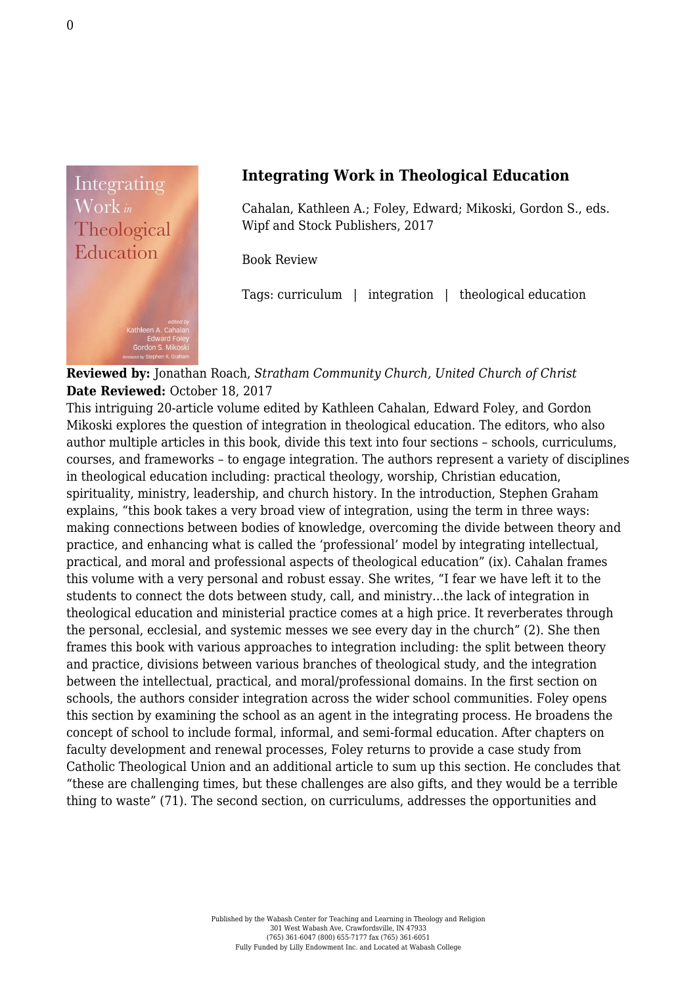

## **Integrating Work in Theological Education**

Cahalan, Kathleen A.; Foley, Edward; Mikoski, Gordon S., eds. [Wipf and Stock Publishers, 2017](http://wipfandstock.com/integrating-work-in-theological-education.html)

Book Review

Tags: curriculum | integration | theological education

## **Reviewed by:** Jonathan Roach, *Stratham Community Church, United Church of Christ* **Date Reviewed:** October 18, 2017

This intriguing 20-article volume edited by Kathleen Cahalan, Edward Foley, and Gordon Mikoski explores the question of integration in theological education. The editors, who also author multiple articles in this book, divide this text into four sections – schools, curriculums, courses, and frameworks – to engage integration. The authors represent a variety of disciplines in theological education including: practical theology, worship, Christian education, spirituality, ministry, leadership, and church history. In the introduction, Stephen Graham explains, "this book takes a very broad view of integration, using the term in three ways: making connections between bodies of knowledge, overcoming the divide between theory and practice, and enhancing what is called the 'professional' model by integrating intellectual, practical, and moral and professional aspects of theological education" (ix). Cahalan frames this volume with a very personal and robust essay. She writes, "I fear we have left it to the students to connect the dots between study, call, and ministry…the lack of integration in theological education and ministerial practice comes at a high price. It reverberates through the personal, ecclesial, and systemic messes we see every day in the church" (2). She then frames this book with various approaches to integration including: the split between theory and practice, divisions between various branches of theological study, and the integration between the intellectual, practical, and moral/professional domains. In the first section on schools, the authors consider integration across the wider school communities. Foley opens this section by examining the school as an agent in the integrating process. He broadens the concept of school to include formal, informal, and semi-formal education. After chapters on faculty development and renewal processes, Foley returns to provide a case study from Catholic Theological Union and an additional article to sum up this section. He concludes that "these are challenging times, but these challenges are also gifts, and they would be a terrible thing to waste" (71). The second section, on curriculums, addresses the opportunities and